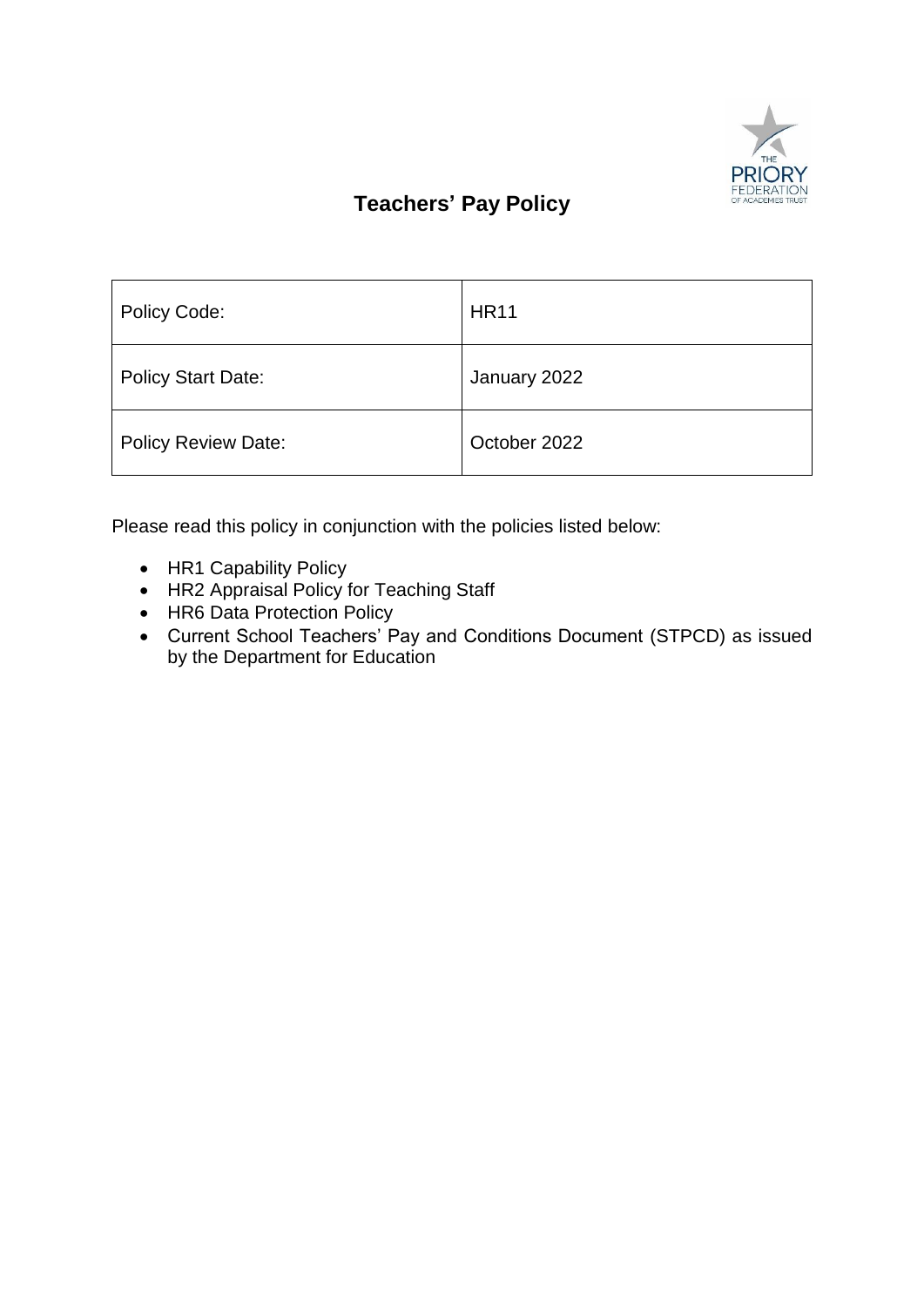

# **Teachers' Pay Policy**

| Policy Code:               | <b>HR11</b>  |
|----------------------------|--------------|
| <b>Policy Start Date:</b>  | January 2022 |
| <b>Policy Review Date:</b> | October 2022 |

Please read this policy in conjunction with the policies listed below:

- HR1 Capability Policy
- HR2 Appraisal Policy for Teaching Staff
- HR6 Data Protection Policy
- Current School Teachers' Pay and Conditions Document (STPCD) as issued by the Department for Education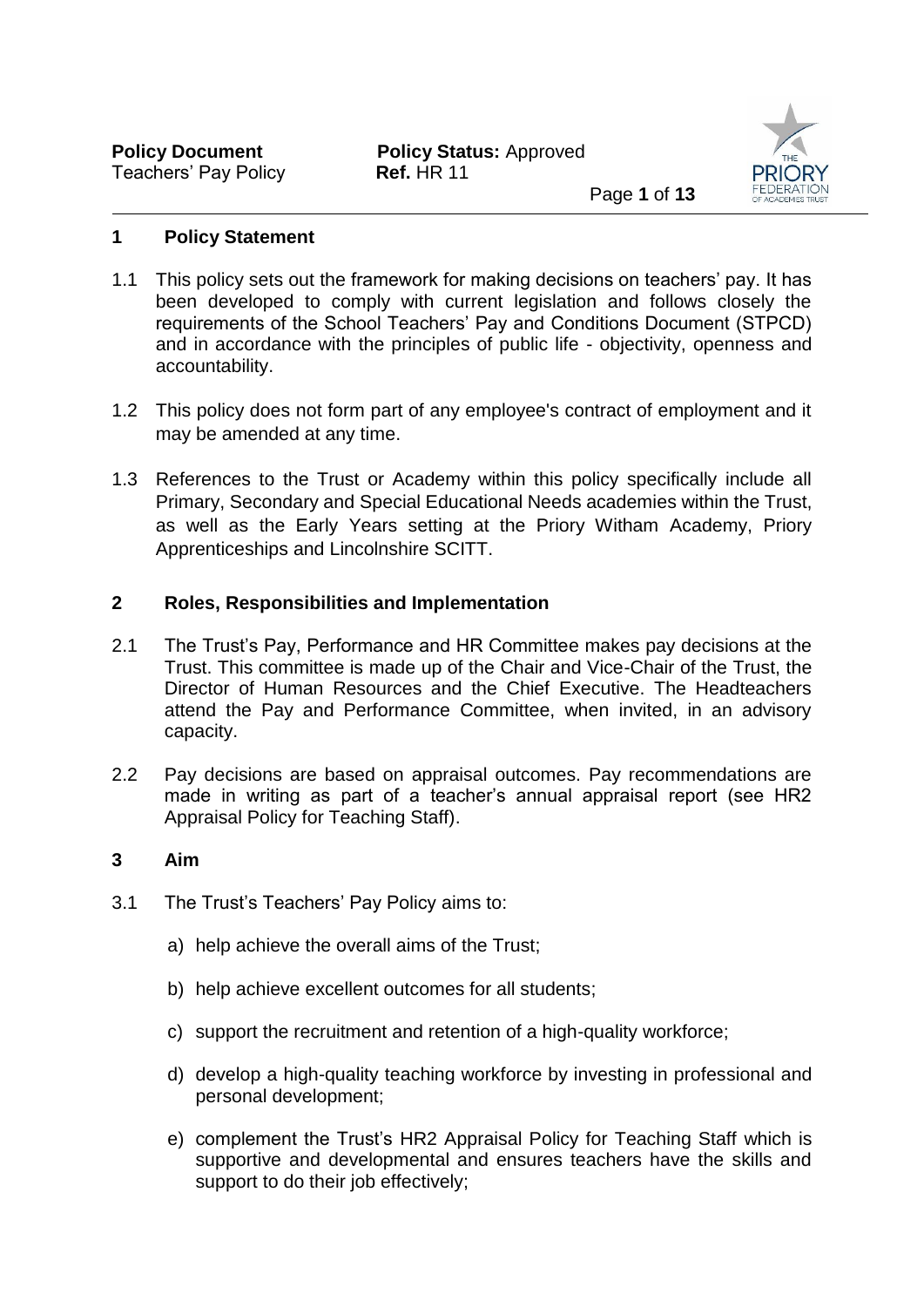

# **1 Policy Statement**

- 1.1 This policy sets out the framework for making decisions on teachers' pay. It has been developed to comply with current legislation and follows closely the requirements of the School Teachers' Pay and Conditions Document (STPCD) and in accordance with the principles of public life - objectivity, openness and accountability.
- 1.2 This policy does not form part of any employee's contract of employment and it may be amended at any time.
- 1.3 References to the Trust or Academy within this policy specifically include all Primary, Secondary and Special Educational Needs academies within the Trust, as well as the Early Years setting at the Priory Witham Academy, Priory Apprenticeships and Lincolnshire SCITT.

# **2 Roles, Responsibilities and Implementation**

- 2.1 The Trust's Pay, Performance and HR Committee makes pay decisions at the Trust. This committee is made up of the Chair and Vice-Chair of the Trust, the Director of Human Resources and the Chief Executive. The Headteachers attend the Pay and Performance Committee, when invited, in an advisory capacity.
- 2.2 Pay decisions are based on appraisal outcomes. Pay recommendations are made in writing as part of a teacher's annual appraisal report (see HR2 Appraisal Policy for Teaching Staff).

# **3 Aim**

- 3.1 The Trust's Teachers' Pay Policy aims to:
	- a) help achieve the overall aims of the Trust;
	- b) help achieve excellent outcomes for all students;
	- c) support the recruitment and retention of a high-quality workforce;
	- d) develop a high-quality teaching workforce by investing in professional and personal development;
	- e) complement the Trust's HR2 Appraisal Policy for Teaching Staff which is supportive and developmental and ensures teachers have the skills and support to do their job effectively;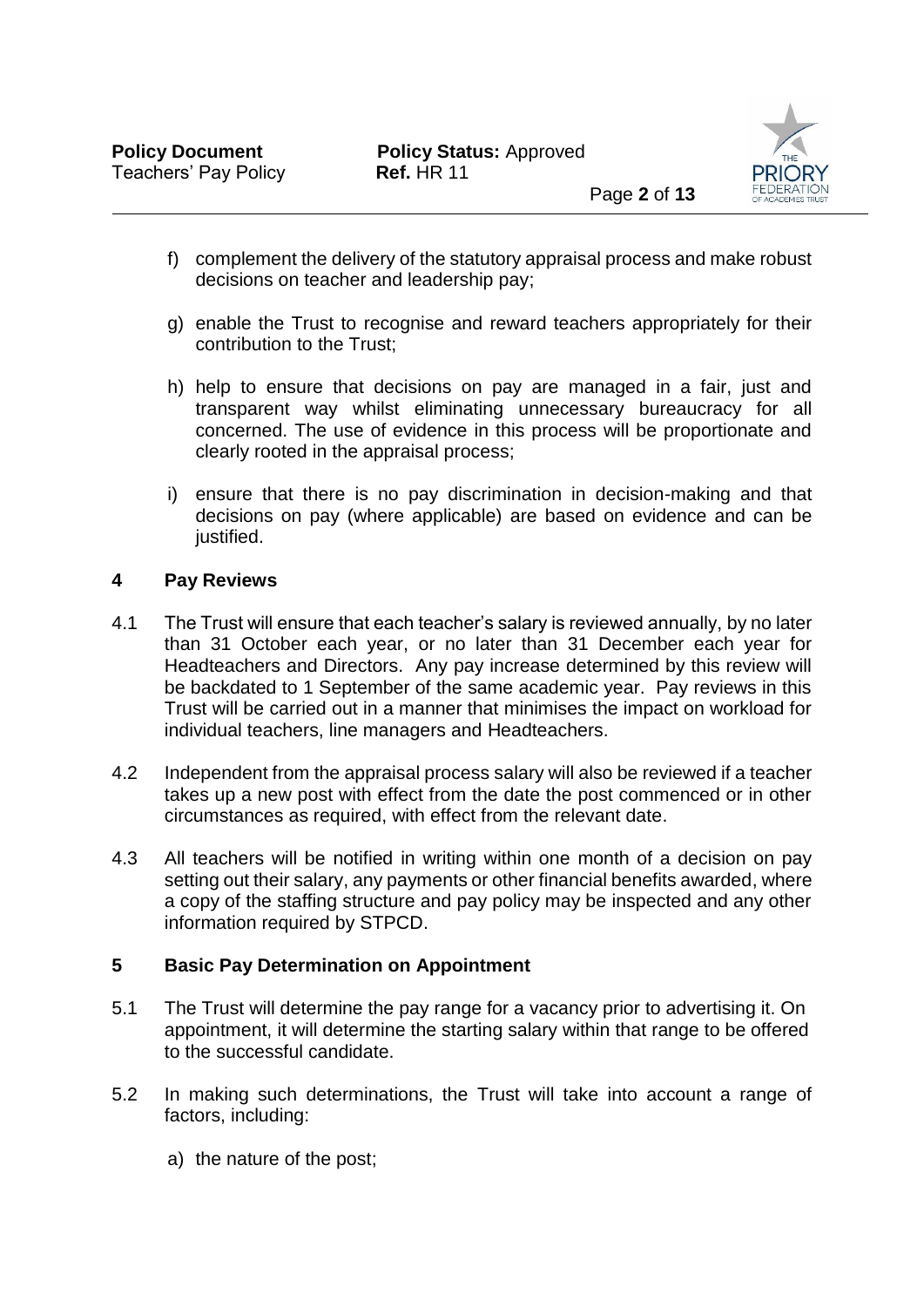

- f) complement the delivery of the statutory appraisal process and make robust decisions on teacher and leadership pay;
- g) enable the Trust to recognise and reward teachers appropriately for their contribution to the Trust;
- h) help to ensure that decisions on pay are managed in a fair, just and transparent way whilst eliminating unnecessary bureaucracy for all concerned. The use of evidence in this process will be proportionate and clearly rooted in the appraisal process;
- i) ensure that there is no pay discrimination in decision-making and that decisions on pay (where applicable) are based on evidence and can be justified.

## **4 Pay Reviews**

- 4.1 The Trust will ensure that each teacher's salary is reviewed annually, by no later than 31 October each year, or no later than 31 December each year for Headteachers and Directors. Any pay increase determined by this review will be backdated to 1 September of the same academic year. Pay reviews in this Trust will be carried out in a manner that minimises the impact on workload for individual teachers, line managers and Headteachers.
- 4.2 Independent from the appraisal process salary will also be reviewed if a teacher takes up a new post with effect from the date the post commenced or in other circumstances as required, with effect from the relevant date.
- 4.3 All teachers will be notified in writing within one month of a decision on pay setting out their salary, any payments or other financial benefits awarded, where a copy of the staffing structure and pay policy may be inspected and any other information required by STPCD.

## **5 Basic Pay Determination on Appointment**

- 5.1 The Trust will determine the pay range for a vacancy prior to advertising it. On appointment, it will determine the starting salary within that range to be offered to the successful candidate.
- 5.2 In making such determinations, the Trust will take into account a range of factors, including:
	- a) the nature of the post;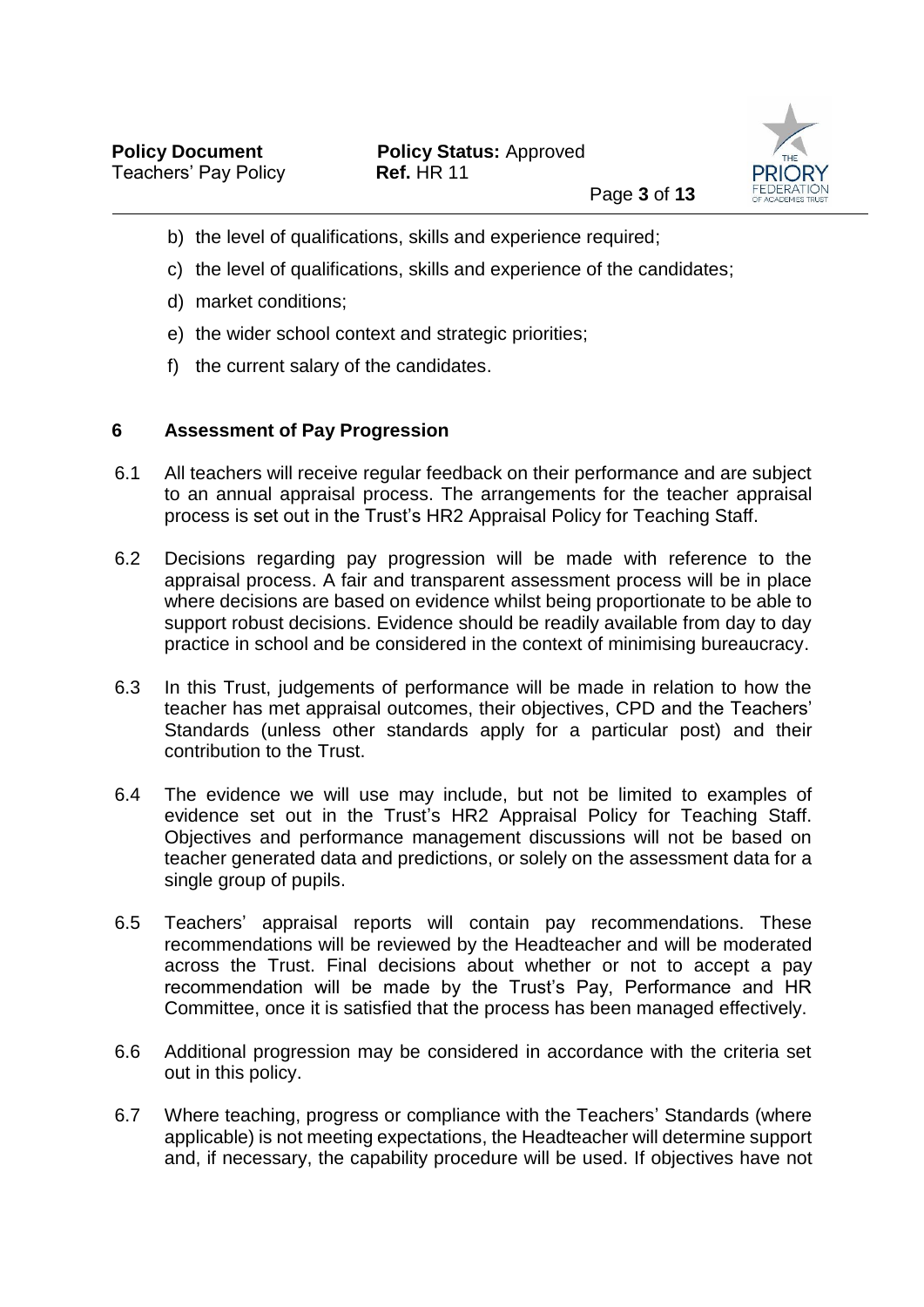

- b) the level of qualifications, skills and experience required;
- c) the level of qualifications, skills and experience of the candidates;
- d) market conditions;
- e) the wider school context and strategic priorities;
- f) the current salary of the candidates.

## **6 Assessment of Pay Progression**

- 6.1 All teachers will receive regular feedback on their performance and are subject to an annual appraisal process. The arrangements for the teacher appraisal process is set out in the Trust's HR2 Appraisal Policy for Teaching Staff.
- 6.2 Decisions regarding pay progression will be made with reference to the appraisal process. A fair and transparent assessment process will be in place where decisions are based on evidence whilst being proportionate to be able to support robust decisions. Evidence should be readily available from day to day practice in school and be considered in the context of minimising bureaucracy.
- 6.3 In this Trust, judgements of performance will be made in relation to how the teacher has met appraisal outcomes, their objectives, CPD and the Teachers' Standards (unless other standards apply for a particular post) and their contribution to the Trust.
- 6.4 The evidence we will use may include, but not be limited to examples of evidence set out in the Trust's HR2 Appraisal Policy for Teaching Staff. Objectives and performance management discussions will not be based on teacher generated data and predictions, or solely on the assessment data for a single group of pupils.
- 6.5 Teachers' appraisal reports will contain pay recommendations. These recommendations will be reviewed by the Headteacher and will be moderated across the Trust. Final decisions about whether or not to accept a pay recommendation will be made by the Trust's Pay, Performance and HR Committee, once it is satisfied that the process has been managed effectively.
- 6.6 Additional progression may be considered in accordance with the criteria set out in this policy.
- 6.7 Where teaching, progress or compliance with the Teachers' Standards (where applicable) is not meeting expectations, the Headteacher will determine support and, if necessary, the capability procedure will be used. If objectives have not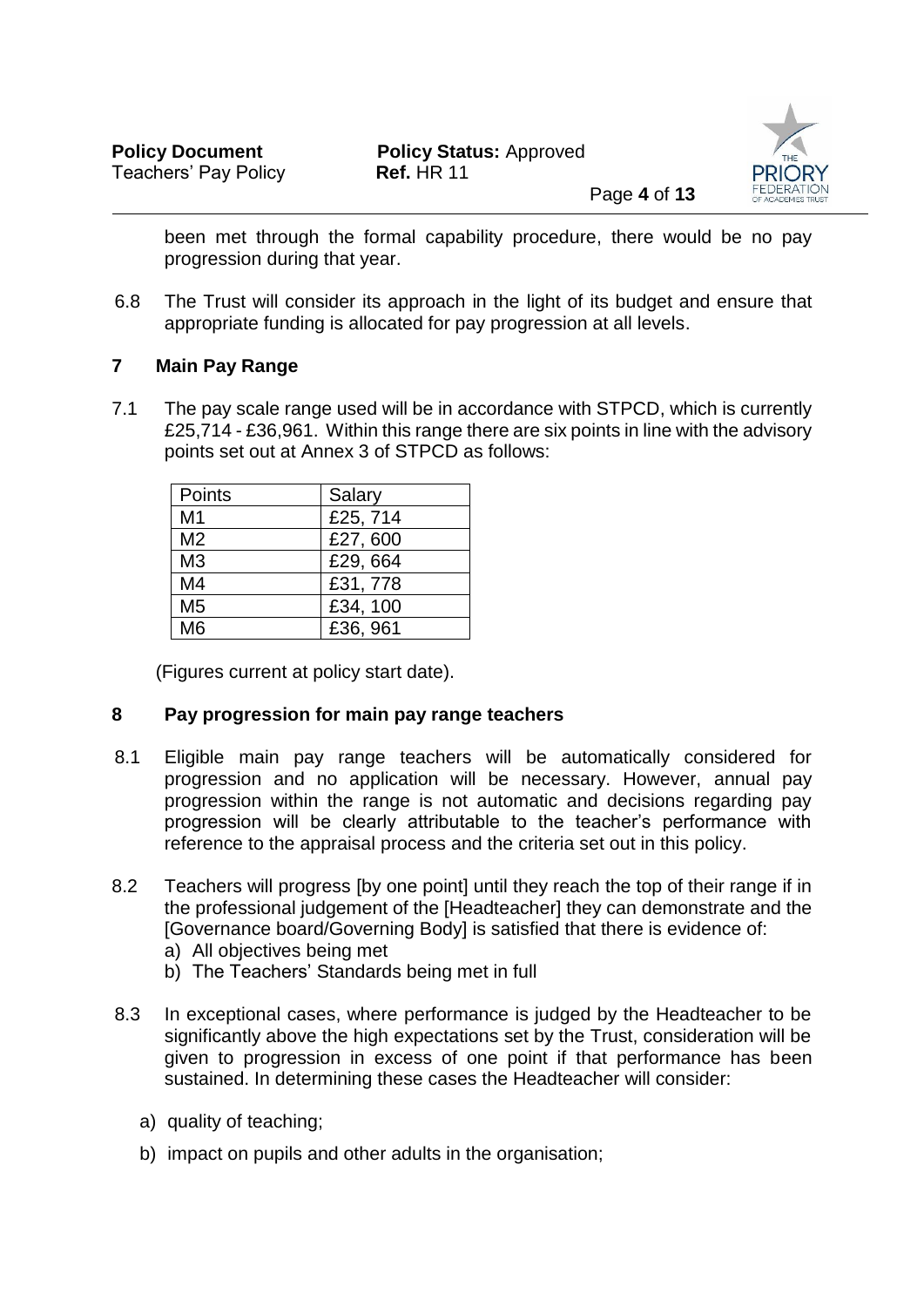

been met through the formal capability procedure, there would be no pay progression during that year.

6.8 The Trust will consider its approach in the light of its budget and ensure that appropriate funding is allocated for pay progression at all levels.

# **7 Main Pay Range**

7.1 The pay scale range used will be in accordance with STPCD, which is currently £25,714 - £36,961. Within this range there are six points in line with the advisory points set out at Annex 3 of STPCD as follows:

| Points         | Salary   |
|----------------|----------|
| M <sub>1</sub> | £25,714  |
| M <sub>2</sub> | £27,600  |
| M <sub>3</sub> | £29,664  |
| M4             | £31,778  |
| M <sub>5</sub> | £34, 100 |
| M6             | £36, 961 |

(Figures current at policy start date).

# **8 Pay progression for main pay range teachers**

- 8.1 Eligible main pay range teachers will be automatically considered for progression and no application will be necessary. However, annual pay progression within the range is not automatic and decisions regarding pay progression will be clearly attributable to the teacher's performance with reference to the appraisal process and the criteria set out in this policy.
- 8.2 Teachers will progress [by one point] until they reach the top of their range if in the professional judgement of the [Headteacher] they can demonstrate and the [Governance board/Governing Body] is satisfied that there is evidence of:
	- a) All objectives being met
	- b) The Teachers' Standards being met in full
- 8.3 In exceptional cases, where performance is judged by the Headteacher to be significantly above the high expectations set by the Trust, consideration will be given to progression in excess of one point if that performance has been sustained. In determining these cases the Headteacher will consider:
	- a) quality of teaching:
	- b) impact on pupils and other adults in the organisation;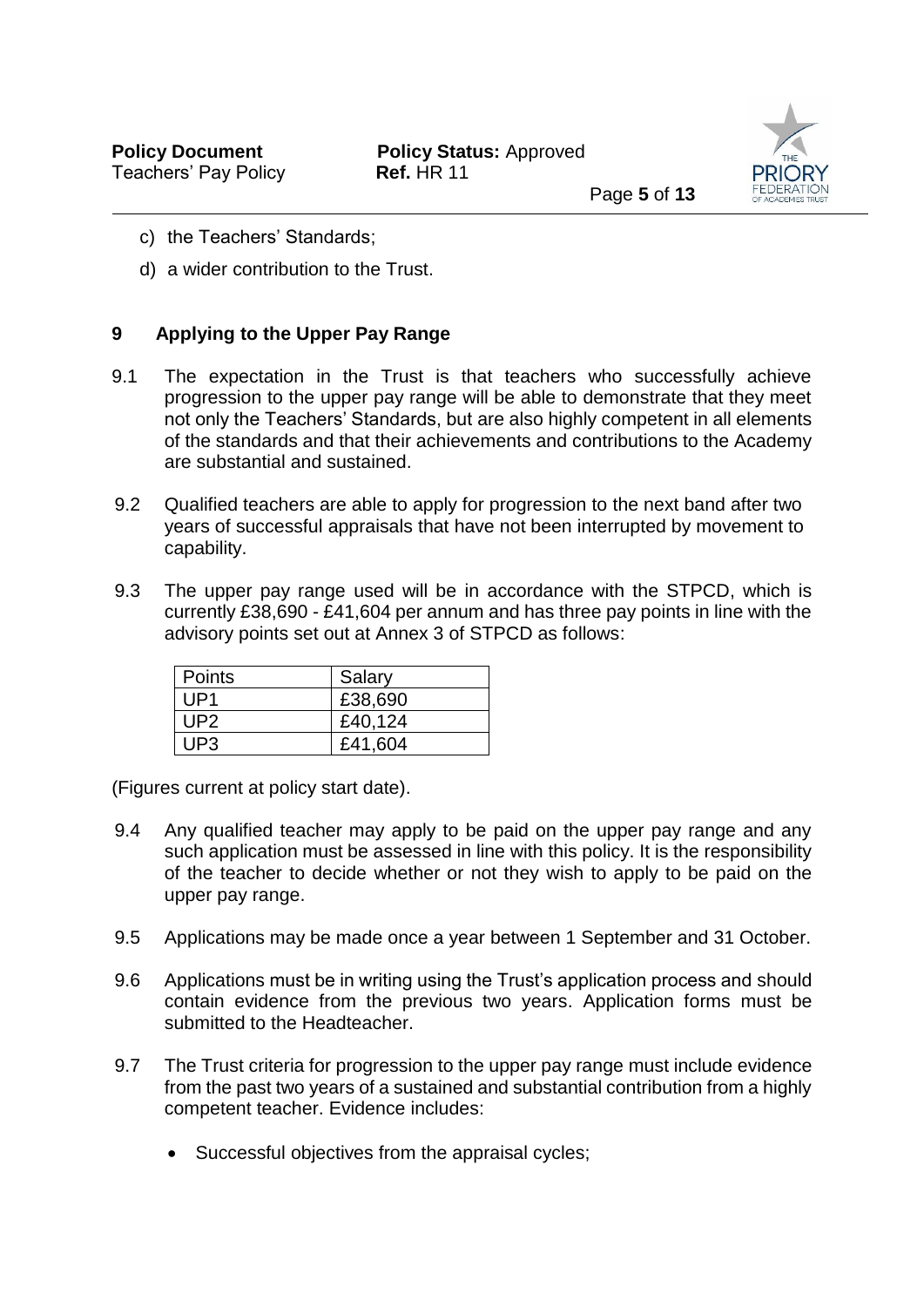

- c) the Teachers' Standards;
- d) a wider contribution to the Trust.

# **9 Applying to the Upper Pay Range**

- 9.1 The expectation in the Trust is that teachers who successfully achieve progression to the upper pay range will be able to demonstrate that they meet not only the Teachers' Standards, but are also highly competent in all elements of the standards and that their achievements and contributions to the Academy are substantial and sustained.
- 9.2 Qualified teachers are able to apply for progression to the next band after two years of successful appraisals that have not been interrupted by movement to capability.
- 9.3 The upper pay range used will be in accordance with the STPCD, which is currently £38,690 - £41,604 per annum and has three pay points in line with the advisory points set out at Annex 3 of STPCD as follows:

| Points | Salary  |
|--------|---------|
| UP1    | £38,690 |
| UP2.   | £40,124 |
| UP3    | £41,604 |

(Figures current at policy start date).

- 9.4 Any qualified teacher may apply to be paid on the upper pay range and any such application must be assessed in line with this policy. It is the responsibility of the teacher to decide whether or not they wish to apply to be paid on the upper pay range.
- 9.5 Applications may be made once a year between 1 September and 31 October.
- 9.6 Applications must be in writing using the Trust's application process and should contain evidence from the previous two years. Application forms must be submitted to the Headteacher.
- 9.7 The Trust criteria for progression to the upper pay range must include evidence from the past two years of a sustained and substantial contribution from a highly competent teacher. Evidence includes:
	- Successful objectives from the appraisal cycles;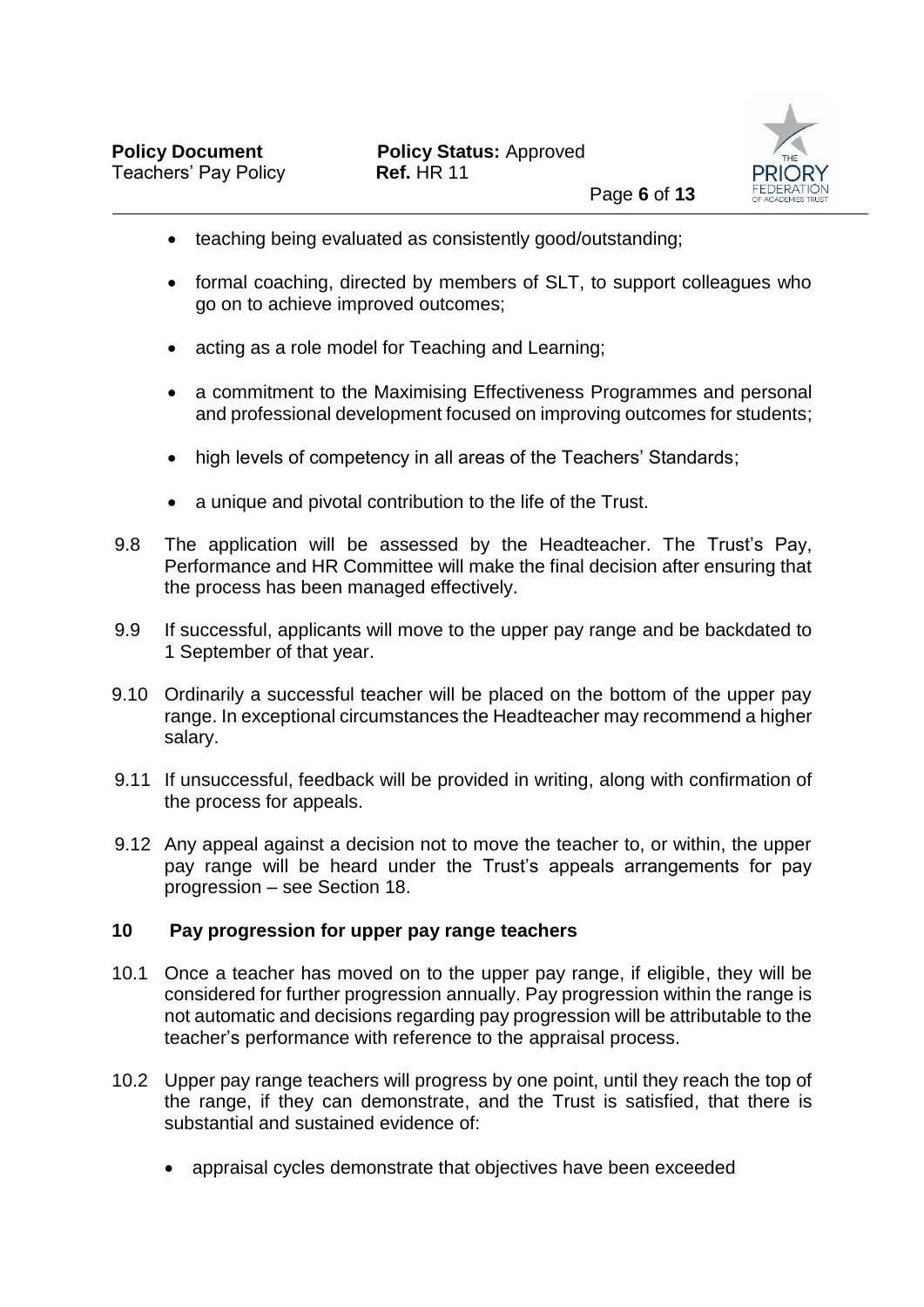

- teaching being evaluated as consistently good/outstanding;
- formal coaching, directed by members of SLT, to support colleagues who go on to achieve improved outcomes;
- acting as a role model for Teaching and Learning;
- a commitment to the Maximising Effectiveness Programmes and personal and professional development focused on improving outcomes for students;
- high levels of competency in all areas of the Teachers' Standards;
- a unique and pivotal contribution to the life of the Trust.
- 9.8 The application will be assessed by the Headteacher. The Trust's Pay, Performance and HR Committee will make the final decision after ensuring that the process has been managed effectively.
- 9.9 If successful, applicants will move to the upper pay range and be backdated to 1 September of that year.
- 9.10 Ordinarily a successful teacher will be placed on the bottom of the upper pay range. In exceptional circumstances the Headteacher may recommend a higher salary.
- 9.11 If unsuccessful, feedback will be provided in writing, along with confirmation of the process for appeals.
- 9.12 Any appeal against a decision not to move the teacher to, or within, the upper pay range will be heard under the Trust's appeals arrangements for pay progression – see Section 18.

## **10 Pay progression for upper pay range teachers**

- 10.1 Once a teacher has moved on to the upper pay range, if eligible, they will be considered for further progression annually. Pay progression within the range is not automatic and decisions regarding pay progression will be attributable to the teacher's performance with reference to the appraisal process.
- 10.2 Upper pay range teachers will progress by one point, until they reach the top of the range, if they can demonstrate, and the Trust is satisfied, that there is substantial and sustained evidence of:
	- appraisal cycles demonstrate that objectives have been exceeded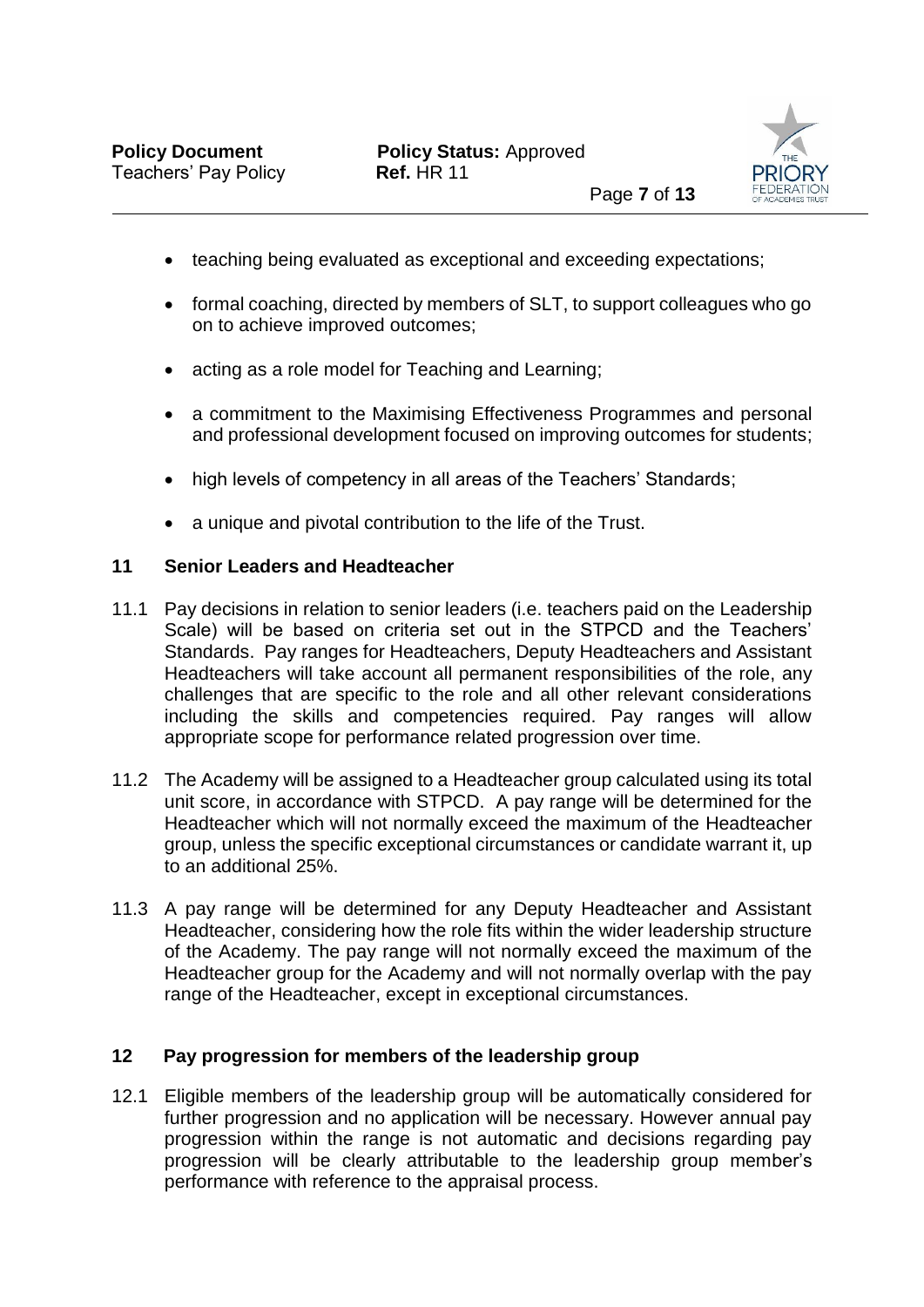

- teaching being evaluated as exceptional and exceeding expectations;
- formal coaching, directed by members of SLT, to support colleagues who go on to achieve improved outcomes;
- acting as a role model for Teaching and Learning;
- a commitment to the Maximising Effectiveness Programmes and personal and professional development focused on improving outcomes for students;
- high levels of competency in all areas of the Teachers' Standards;
- a unique and pivotal contribution to the life of the Trust.

## **11 Senior Leaders and Headteacher**

- 11.1 Pay decisions in relation to senior leaders (i.e. teachers paid on the Leadership Scale) will be based on criteria set out in the STPCD and the Teachers' Standards. Pay ranges for Headteachers, Deputy Headteachers and Assistant Headteachers will take account all permanent responsibilities of the role, any challenges that are specific to the role and all other relevant considerations including the skills and competencies required. Pay ranges will allow appropriate scope for performance related progression over time.
- 11.2 The Academy will be assigned to a Headteacher group calculated using its total unit score, in accordance with STPCD. A pay range will be determined for the Headteacher which will not normally exceed the maximum of the Headteacher group, unless the specific exceptional circumstances or candidate warrant it, up to an additional 25%.
- 11.3 A pay range will be determined for any Deputy Headteacher and Assistant Headteacher, considering how the role fits within the wider leadership structure of the Academy. The pay range will not normally exceed the maximum of the Headteacher group for the Academy and will not normally overlap with the pay range of the Headteacher, except in exceptional circumstances.

## **12 Pay progression for members of the leadership group**

12.1 Eligible members of the leadership group will be automatically considered for further progression and no application will be necessary. However annual pay progression within the range is not automatic and decisions regarding pay progression will be clearly attributable to the leadership group member's performance with reference to the appraisal process.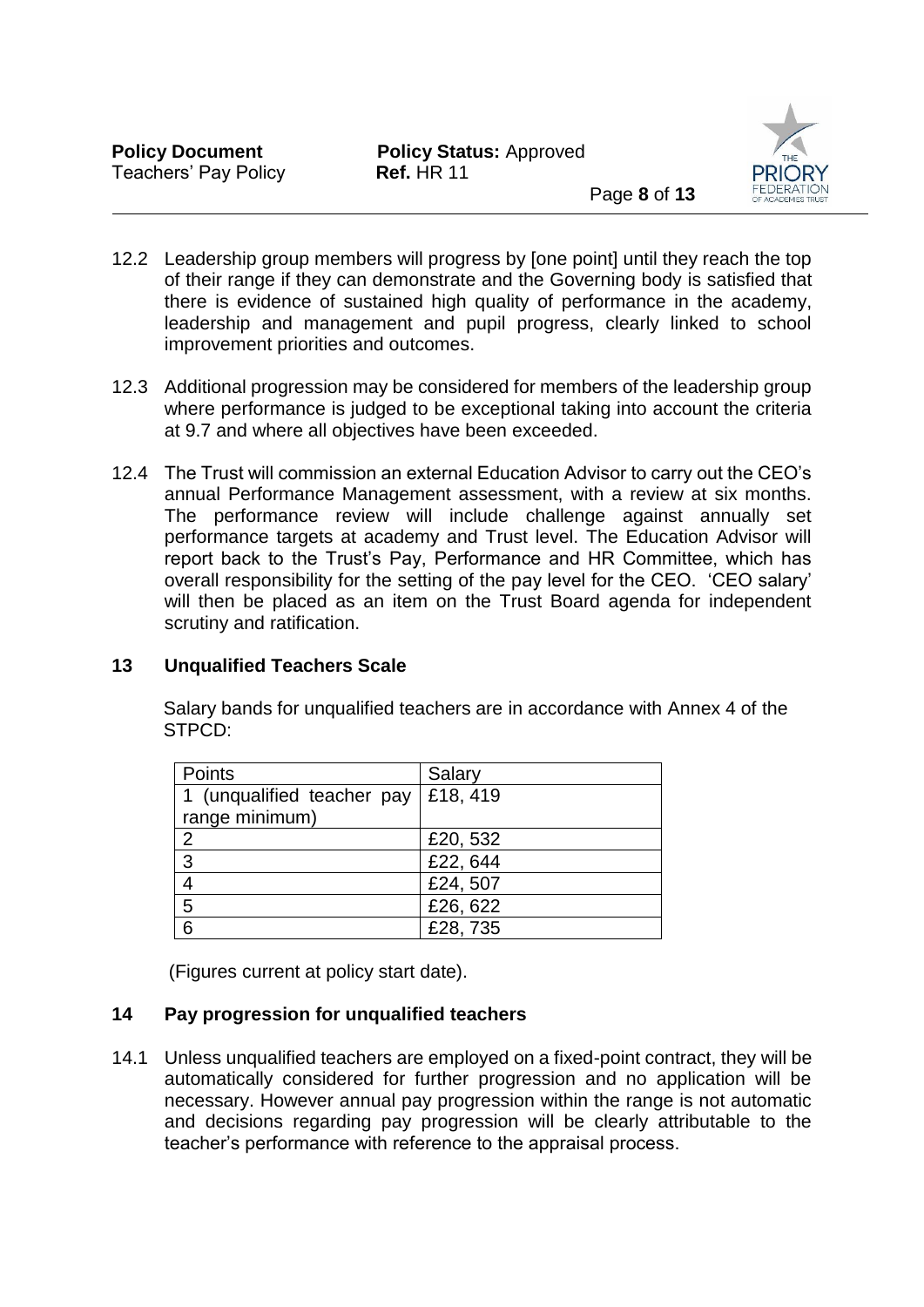

- 12.2 Leadership group members will progress by [one point] until they reach the top of their range if they can demonstrate and the Governing body is satisfied that there is evidence of sustained high quality of performance in the academy, leadership and management and pupil progress, clearly linked to school improvement priorities and outcomes.
- 12.3 Additional progression may be considered for members of the leadership group where performance is judged to be exceptional taking into account the criteria at 9.7 and where all objectives have been exceeded.
- 12.4 The Trust will commission an external Education Advisor to carry out the CEO's annual Performance Management assessment, with a review at six months. The performance review will include challenge against annually set performance targets at academy and Trust level. The Education Advisor will report back to the Trust's Pay, Performance and HR Committee, which has overall responsibility for the setting of the pay level for the CEO. 'CEO salary' will then be placed as an item on the Trust Board agenda for independent scrutiny and ratification.

# **13 Unqualified Teachers Scale**

 Salary bands for unqualified teachers are in accordance with Annex 4 of the STPCD:

| Points                     | Salary   |
|----------------------------|----------|
| 1 (unqualified teacher pay | £18, 419 |
| range minimum)             |          |
| $\overline{2}$             | £20,532  |
| 3                          | £22,644  |
| $\overline{4}$             | £24,507  |
| 5                          | £26,622  |
| 6                          | £28,735  |

(Figures current at policy start date).

# **14 Pay progression for unqualified teachers**

14.1 Unless unqualified teachers are employed on a fixed-point contract, they will be automatically considered for further progression and no application will be necessary. However annual pay progression within the range is not automatic and decisions regarding pay progression will be clearly attributable to the teacher's performance with reference to the appraisal process.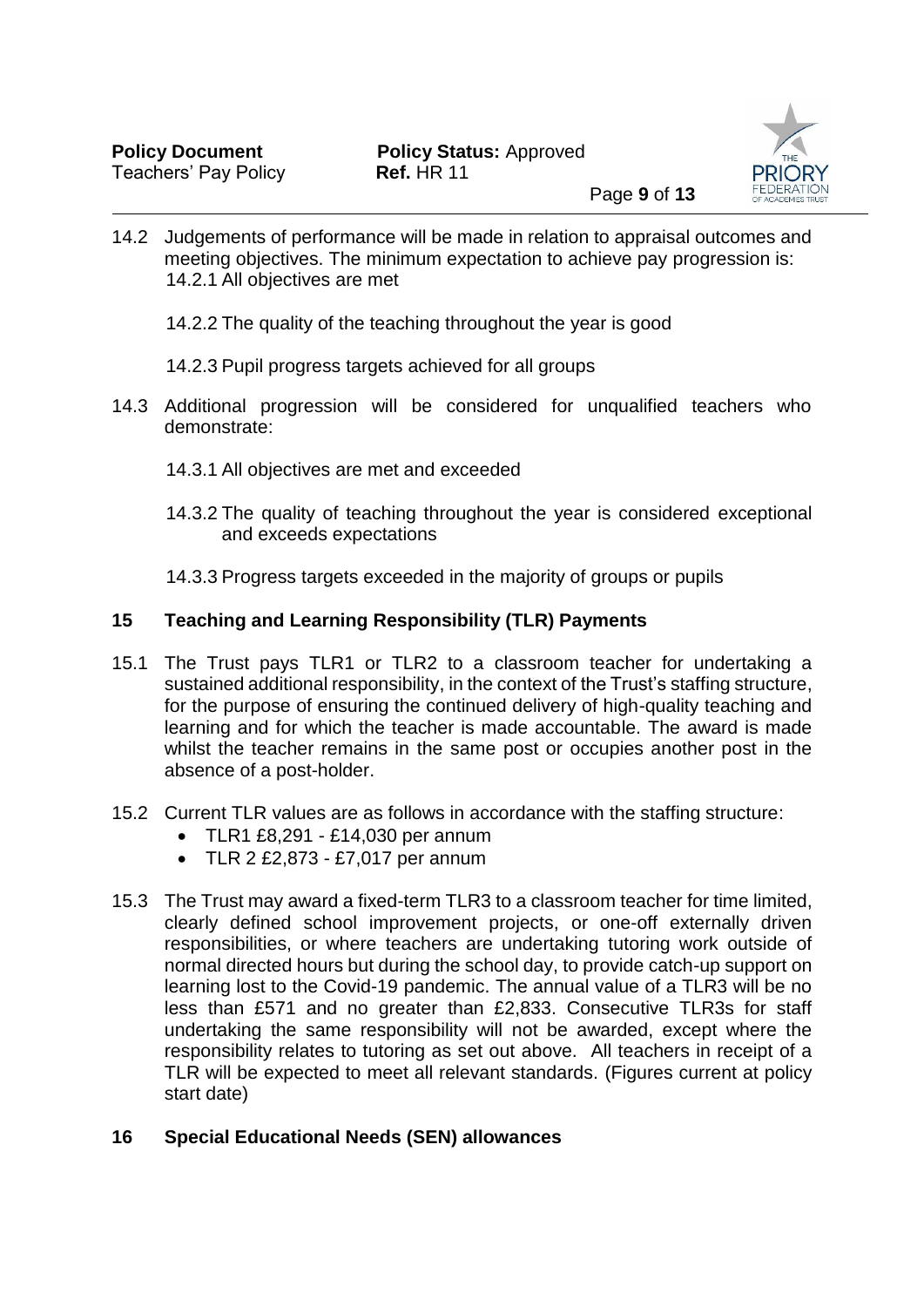

14.2 Judgements of performance will be made in relation to appraisal outcomes and meeting objectives. The minimum expectation to achieve pay progression is: 14.2.1 All objectives are met

- 14.2.2 The quality of the teaching throughout the year is good
- 14.2.3 Pupil progress targets achieved for all groups
- 14.3 Additional progression will be considered for unqualified teachers who demonstrate:
	- 14.3.1 All objectives are met and exceeded
	- 14.3.2 The quality of teaching throughout the year is considered exceptional and exceeds expectations
	- 14.3.3 Progress targets exceeded in the majority of groups or pupils

# **15 Teaching and Learning Responsibility (TLR) Payments**

- 15.1 The Trust pays TLR1 or TLR2 to a classroom teacher for undertaking a sustained additional responsibility, in the context of the Trust's staffing structure, for the purpose of ensuring the continued delivery of high-quality teaching and learning and for which the teacher is made accountable. The award is made whilst the teacher remains in the same post or occupies another post in the absence of a post-holder.
- 15.2 Current TLR values are as follows in accordance with the staffing structure:
	- TLR1 £8,291 £14,030 per annum
	- TLR 2 £2,873 £7,017 per annum
- 15.3 The Trust may award a fixed-term TLR3 to a classroom teacher for time limited, clearly defined school improvement projects, or one-off externally driven responsibilities, or where teachers are undertaking tutoring work outside of normal directed hours but during the school day, to provide catch-up support on learning lost to the Covid-19 pandemic. The annual value of a TLR3 will be no less than £571 and no greater than £2,833. Consecutive TLR3s for staff undertaking the same responsibility will not be awarded, except where the responsibility relates to tutoring as set out above. All teachers in receipt of a TLR will be expected to meet all relevant standards. (Figures current at policy start date)

# **16 Special Educational Needs (SEN) allowances**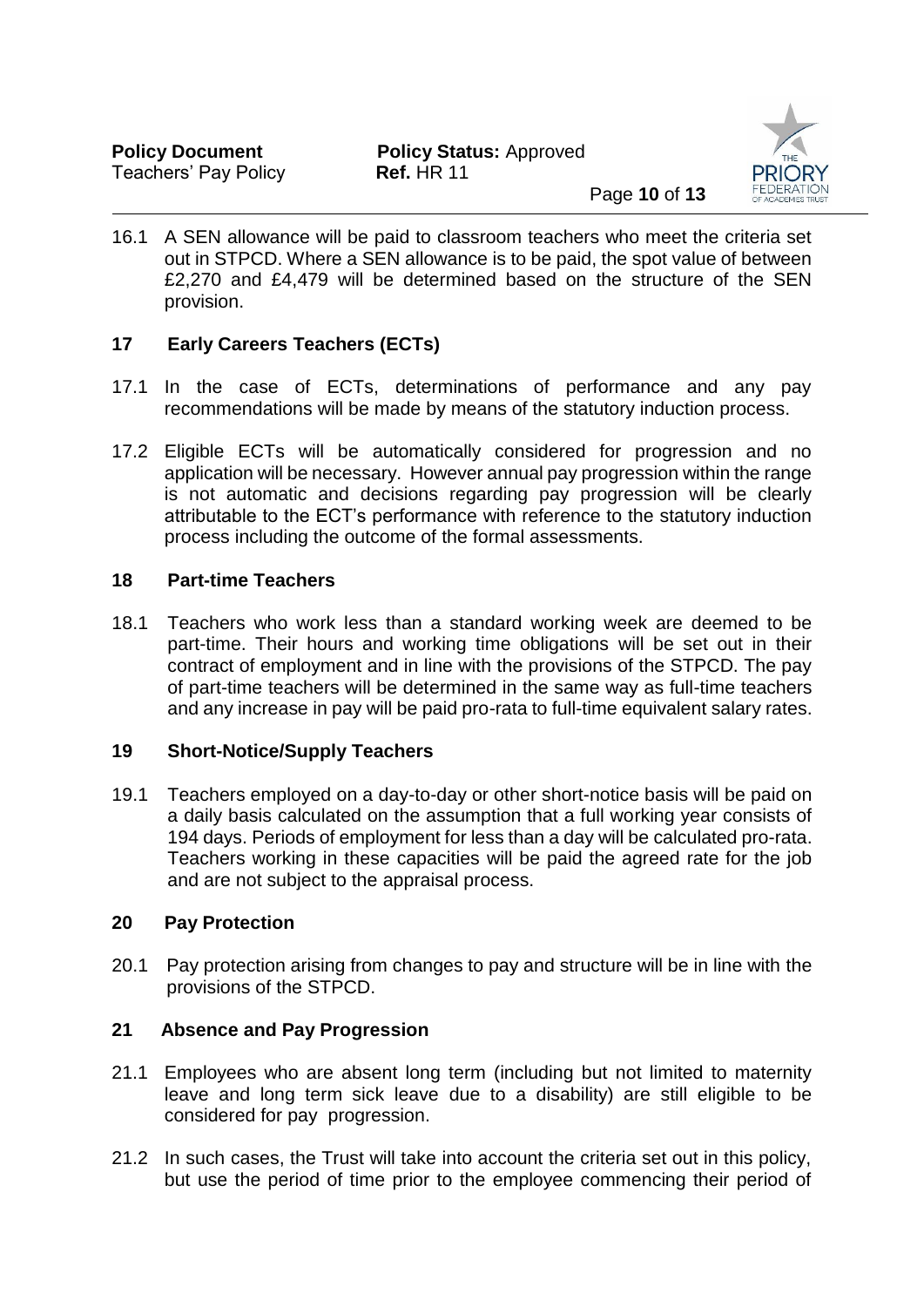

16.1 A SEN allowance will be paid to classroom teachers who meet the criteria set out in STPCD. Where a SEN allowance is to be paid, the spot value of between £2,270 and £4,479 will be determined based on the structure of the SEN provision.

# **17 Early Careers Teachers (ECTs)**

- 17.1 In the case of ECTs, determinations of performance and any pay recommendations will be made by means of the statutory induction process.
- 17.2 Eligible ECTs will be automatically considered for progression and no application will be necessary. However annual pay progression within the range is not automatic and decisions regarding pay progression will be clearly attributable to the ECT's performance with reference to the statutory induction process including the outcome of the formal assessments.

## **18 Part-time Teachers**

18.1 Teachers who work less than a standard working week are deemed to be part-time. Their hours and working time obligations will be set out in their contract of employment and in line with the provisions of the STPCD. The pay of part-time teachers will be determined in the same way as full-time teachers and any increase in pay will be paid pro-rata to full-time equivalent salary rates.

## **19 Short-Notice/Supply Teachers**

19.1 Teachers employed on a day-to-day or other short-notice basis will be paid on a daily basis calculated on the assumption that a full working year consists of 194 days. Periods of employment for less than a day will be calculated pro-rata. Teachers working in these capacities will be paid the agreed rate for the job and are not subject to the appraisal process.

## **20 Pay Protection**

20.1 Pay protection arising from changes to pay and structure will be in line with the provisions of the STPCD.

## **21 Absence and Pay Progression**

- 21.1 Employees who are absent long term (including but not limited to maternity leave and long term sick leave due to a disability) are still eligible to be considered for pay progression.
- 21.2 In such cases, the Trust will take into account the criteria set out in this policy, but use the period of time prior to the employee commencing their period of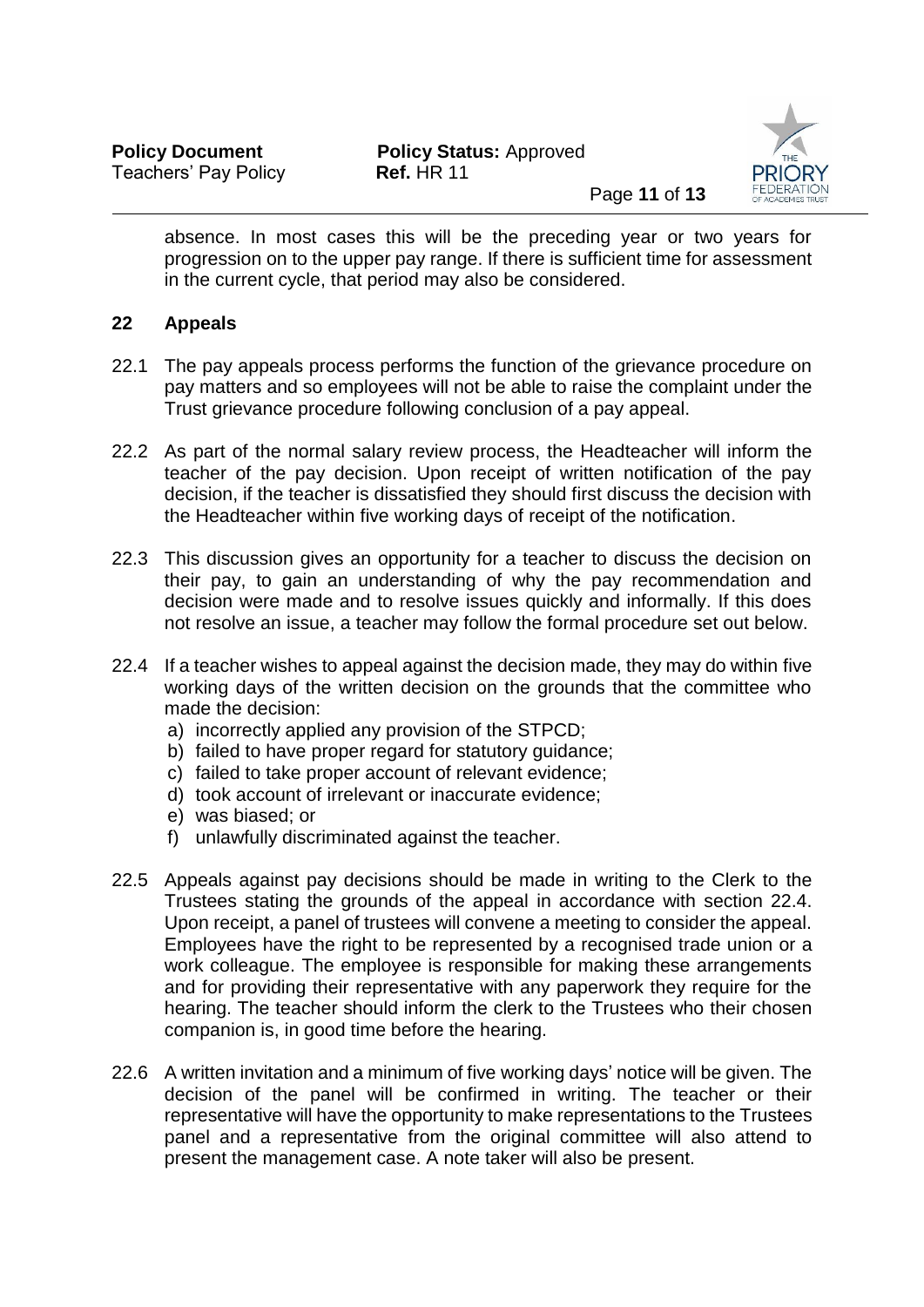

absence. In most cases this will be the preceding year or two years for progression on to the upper pay range. If there is sufficient time for assessment in the current cycle, that period may also be considered.

# **22 Appeals**

- 22.1 The pay appeals process performs the function of the grievance procedure on pay matters and so employees will not be able to raise the complaint under the Trust grievance procedure following conclusion of a pay appeal.
- 22.2 As part of the normal salary review process, the Headteacher will inform the teacher of the pay decision. Upon receipt of written notification of the pay decision, if the teacher is dissatisfied they should first discuss the decision with the Headteacher within five working days of receipt of the notification.
- 22.3 This discussion gives an opportunity for a teacher to discuss the decision on their pay, to gain an understanding of why the pay recommendation and decision were made and to resolve issues quickly and informally. If this does not resolve an issue, a teacher may follow the formal procedure set out below.
- 22.4 If a teacher wishes to appeal against the decision made, they may do within five working days of the written decision on the grounds that the committee who made the decision:
	- a) incorrectly applied any provision of the STPCD;
	- b) failed to have proper regard for statutory guidance;
	- c) failed to take proper account of relevant evidence;
	- d) took account of irrelevant or inaccurate evidence;
	- e) was biased; or
	- f) unlawfully discriminated against the teacher.
- 22.5 Appeals against pay decisions should be made in writing to the Clerk to the Trustees stating the grounds of the appeal in accordance with section 22.4. Upon receipt, a panel of trustees will convene a meeting to consider the appeal. Employees have the right to be represented by a recognised trade union or a work colleague. The employee is responsible for making these arrangements and for providing their representative with any paperwork they require for the hearing. The teacher should inform the clerk to the Trustees who their chosen companion is, in good time before the hearing.
- 22.6 A written invitation and a minimum of five working days' notice will be given. The decision of the panel will be confirmed in writing. The teacher or their representative will have the opportunity to make representations to the Trustees panel and a representative from the original committee will also attend to present the management case. A note taker will also be present.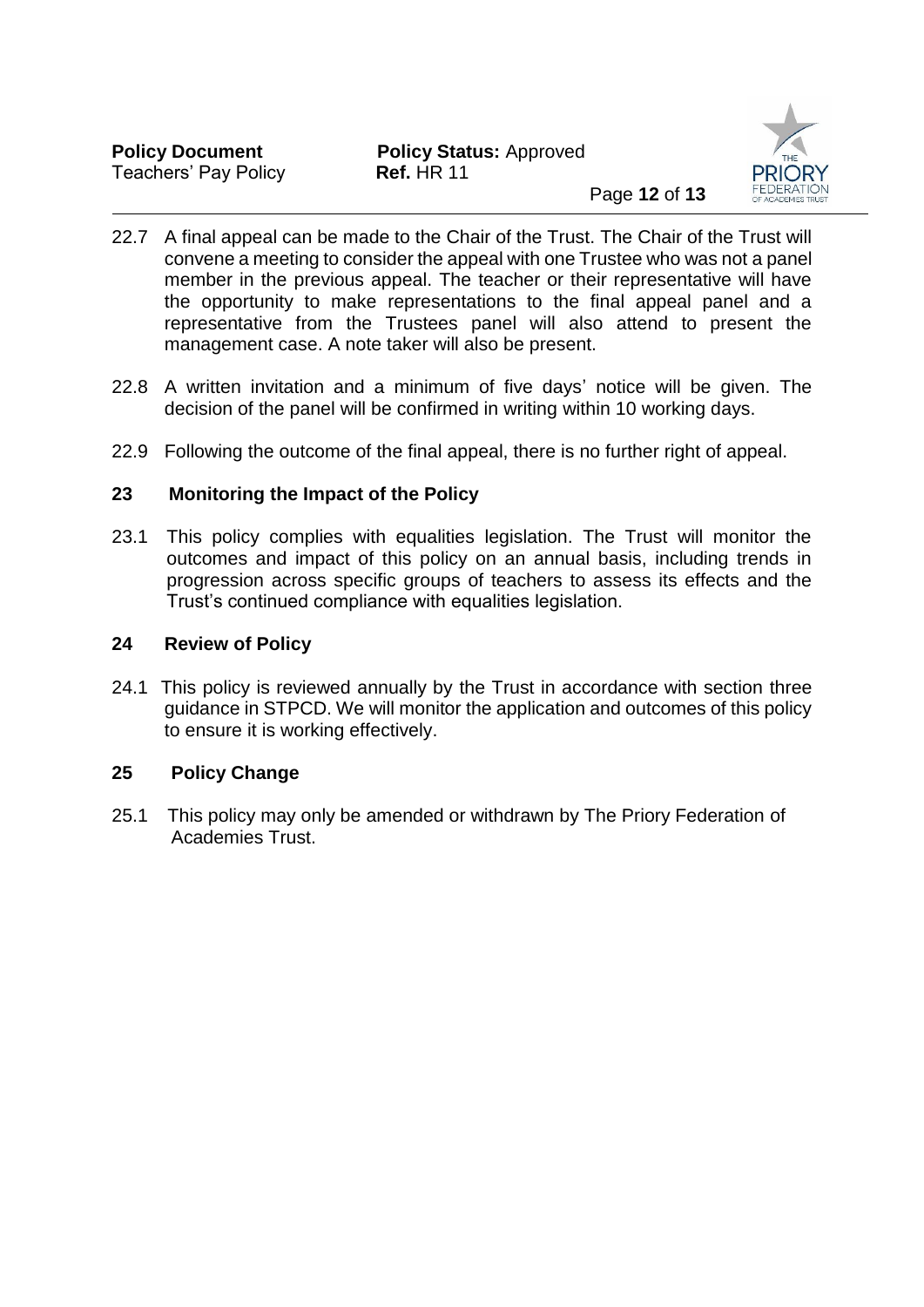

- 22.7 A final appeal can be made to the Chair of the Trust. The Chair of the Trust will convene a meeting to consider the appeal with one Trustee who was not a panel member in the previous appeal. The teacher or their representative will have the opportunity to make representations to the final appeal panel and a representative from the Trustees panel will also attend to present the management case. A note taker will also be present.
- 22.8 A written invitation and a minimum of five days' notice will be given. The decision of the panel will be confirmed in writing within 10 working days.
- 22.9 Following the outcome of the final appeal, there is no further right of appeal.

## **23 Monitoring the Impact of the Policy**

23.1 This policy complies with equalities legislation. The Trust will monitor the outcomes and impact of this policy on an annual basis, including trends in progression across specific groups of teachers to assess its effects and the Trust's continued compliance with equalities legislation.

# **24 Review of Policy**

24.1 This policy is reviewed annually by the Trust in accordance with section three guidance in STPCD. We will monitor the application and outcomes of this policy to ensure it is working effectively.

## **25 Policy Change**

25.1 This policy may only be amended or withdrawn by The Priory Federation of Academies Trust.